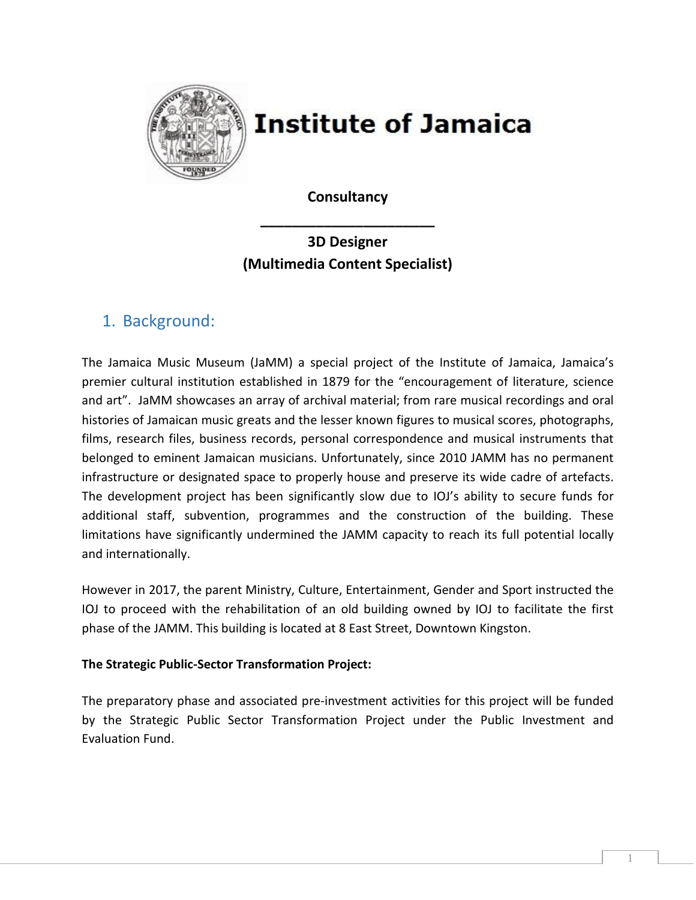

# **Institute of Jamaica**

**Consultancy** 

**\_\_\_\_\_\_\_\_\_\_\_\_\_\_\_\_\_\_\_\_\_\_**

# **3D Designer (Multimedia Content Specialist)**

# 1. Background:

The Jamaica Music Museum (JaMM) a special project of the Institute of Jamaica, Jamaica's premier cultural institution established in 1879 for the "encouragement of literature, science and art". JaMM showcases an array of archival material; from rare musical recordings and oral histories of Jamaican music greats and the lesser known figures to musical scores, photographs, films, research files, business records, personal correspondence and musical instruments that belonged to eminent Jamaican musicians. Unfortunately, since 2010 JAMM has no permanent infrastructure or designated space to properly house and preserve its wide cadre of artefacts. The development project has been significantly slow due to IOJ's ability to secure funds for additional staff, subvention, programmes and the construction of the building. These limitations have significantly undermined the JAMM capacity to reach its full potential locally and internationally.

However in 2017, the parent Ministry, Culture, Entertainment, Gender and Sport instructed the IOJ to proceed with the rehabilitation of an old building owned by IOJ to facilitate the first phase of the JAMM. This building is located at 8 East Street, Downtown Kingston.

#### **The Strategic Public-Sector Transformation Project:**

The preparatory phase and associated pre-investment activities for this project will be funded by the Strategic Public Sector Transformation Project under the Public Investment and Evaluation Fund.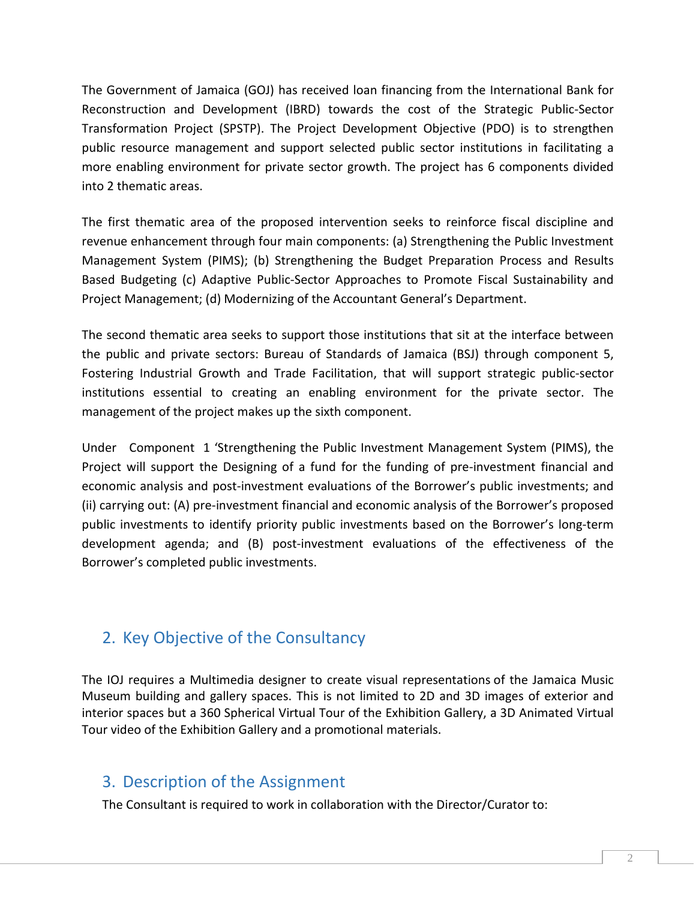The Government of Jamaica (GOJ) has received loan financing from the International Bank for Reconstruction and Development (IBRD) towards the cost of the Strategic Public-Sector Transformation Project (SPSTP). The Project Development Objective (PDO) is to strengthen public resource management and support selected public sector institutions in facilitating a more enabling environment for private sector growth. The project has 6 components divided into 2 thematic areas.

The first thematic area of the proposed intervention seeks to reinforce fiscal discipline and revenue enhancement through four main components: (a) Strengthening the Public Investment Management System (PIMS); (b) Strengthening the Budget Preparation Process and Results Based Budgeting (c) Adaptive Public-Sector Approaches to Promote Fiscal Sustainability and Project Management; (d) Modernizing of the Accountant General's Department.

The second thematic area seeks to support those institutions that sit at the interface between the public and private sectors: Bureau of Standards of Jamaica (BSJ) through component 5, Fostering Industrial Growth and Trade Facilitation, that will support strategic public-sector institutions essential to creating an enabling environment for the private sector. The management of the project makes up the sixth component.

Under Component 1 'Strengthening the Public Investment Management System (PIMS), the Project will support the Designing of a fund for the funding of pre-investment financial and economic analysis and post-investment evaluations of the Borrower's public investments; and (ii) carrying out: (A) pre-investment financial and economic analysis of the Borrower's proposed public investments to identify priority public investments based on the Borrower's long-term development agenda; and (B) post-investment evaluations of the effectiveness of the Borrower's completed public investments.

# 2. Key Objective of the Consultancy

The IOJ requires a Multimedia designer to create visual representations of the Jamaica Music Museum building and gallery spaces. This is not limited to 2D and 3D images of exterior and interior spaces but a 360 Spherical Virtual Tour of the Exhibition Gallery, a 3D Animated Virtual Tour video of the Exhibition Gallery and a promotional materials.

### 3. Description of the Assignment

The Consultant is required to work in collaboration with the Director/Curator to: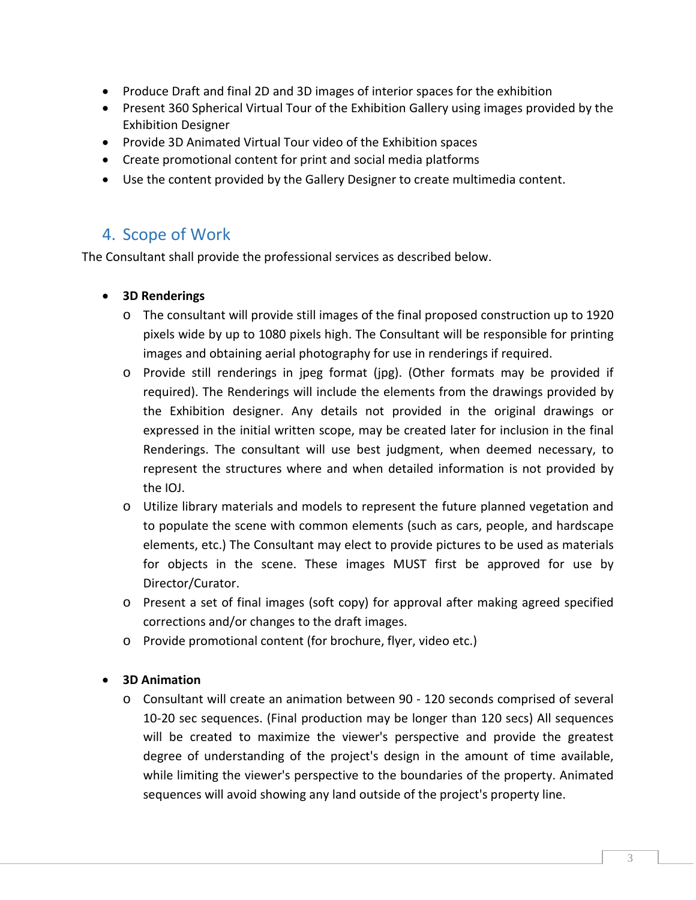- Produce Draft and final 2D and 3D images of interior spaces for the exhibition
- Present 360 Spherical Virtual Tour of the Exhibition Gallery using images provided by the Exhibition Designer
- Provide 3D Animated Virtual Tour video of the Exhibition spaces
- Create promotional content for print and social media platforms
- Use the content provided by the Gallery Designer to create multimedia content.

### 4. Scope of Work

The Consultant shall provide the professional services as described below.

#### • **3D Renderings**

- o The consultant will provide still images of the final proposed construction up to 1920 pixels wide by up to 1080 pixels high. The Consultant will be responsible for printing images and obtaining aerial photography for use in renderings if required.
- o Provide still renderings in jpeg format (jpg). (Other formats may be provided if required). The Renderings will include the elements from the drawings provided by the Exhibition designer. Any details not provided in the original drawings or expressed in the initial written scope, may be created later for inclusion in the final Renderings. The consultant will use best judgment, when deemed necessary, to represent the structures where and when detailed information is not provided by the IOJ.
- o Utilize library materials and models to represent the future planned vegetation and to populate the scene with common elements (such as cars, people, and hardscape elements, etc.) The Consultant may elect to provide pictures to be used as materials for objects in the scene. These images MUST first be approved for use by Director/Curator.
- o Present a set of final images (soft copy) for approval after making agreed specified corrections and/or changes to the draft images.
- o Provide promotional content (for brochure, flyer, video etc.)

#### • **3D Animation**

o Consultant will create an animation between 90 - 120 seconds comprised of several 10-20 sec sequences. (Final production may be longer than 120 secs) All sequences will be created to maximize the viewer's perspective and provide the greatest degree of understanding of the project's design in the amount of time available, while limiting the viewer's perspective to the boundaries of the property. Animated sequences will avoid showing any land outside of the project's property line.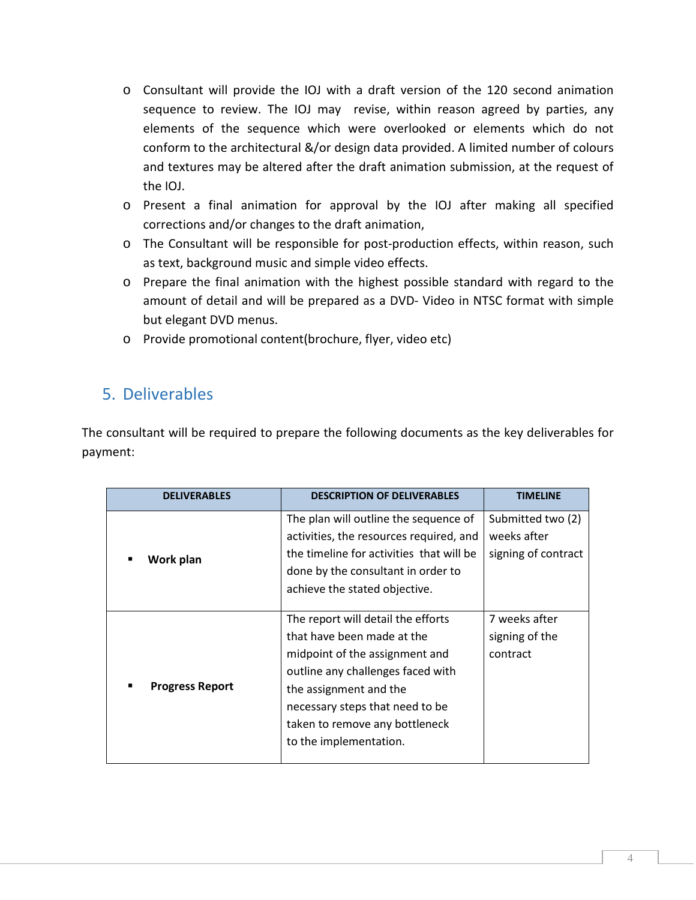- o Consultant will provide the IOJ with a draft version of the 120 second animation sequence to review. The IOJ may revise, within reason agreed by parties, any elements of the sequence which were overlooked or elements which do not conform to the architectural &/or design data provided. A limited number of colours and textures may be altered after the draft animation submission, at the request of the IOJ.
- o Present a final animation for approval by the IOJ after making all specified corrections and/or changes to the draft animation,
- o The Consultant will be responsible for post-production effects, within reason, such as text, background music and simple video effects.
- o Prepare the final animation with the highest possible standard with regard to the amount of detail and will be prepared as a DVD- Video in NTSC format with simple but elegant DVD menus.
- o Provide promotional content(brochure, flyer, video etc)

### 5. Deliverables

The consultant will be required to prepare the following documents as the key deliverables for payment:

| <b>DELIVERABLES</b>    | <b>DESCRIPTION OF DELIVERABLES</b>       | <b>TIMELINE</b>     |
|------------------------|------------------------------------------|---------------------|
| Work plan<br>■         | The plan will outline the sequence of    | Submitted two (2)   |
|                        | activities, the resources required, and  | weeks after         |
|                        | the timeline for activities that will be | signing of contract |
|                        | done by the consultant in order to       |                     |
|                        | achieve the stated objective.            |                     |
|                        |                                          |                     |
| <b>Progress Report</b> | The report will detail the efforts       | 7 weeks after       |
|                        | that have been made at the               | signing of the      |
|                        | midpoint of the assignment and           | contract            |
|                        | outline any challenges faced with        |                     |
|                        | the assignment and the                   |                     |
|                        | necessary steps that need to be          |                     |
|                        | taken to remove any bottleneck           |                     |
|                        | to the implementation.                   |                     |
|                        |                                          |                     |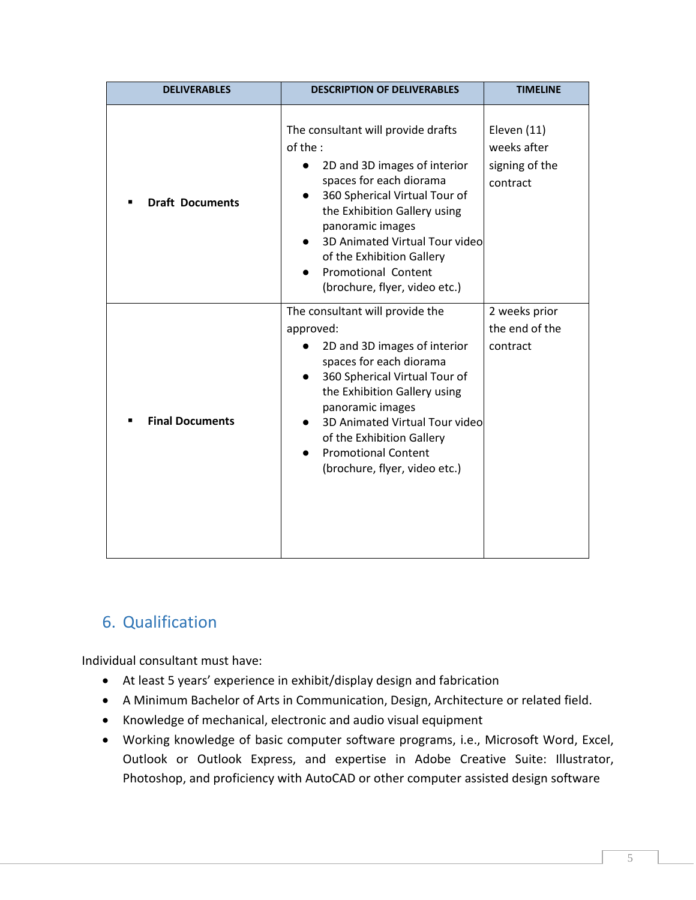| <b>DELIVERABLES</b>    | <b>DESCRIPTION OF DELIVERABLES</b>                                                                                                                                                                                                                                                                                           | <b>TIMELINE</b>                                          |
|------------------------|------------------------------------------------------------------------------------------------------------------------------------------------------------------------------------------------------------------------------------------------------------------------------------------------------------------------------|----------------------------------------------------------|
| <b>Draft Documents</b> | The consultant will provide drafts<br>of the :<br>2D and 3D images of interior<br>spaces for each diorama<br>360 Spherical Virtual Tour of<br>the Exhibition Gallery using<br>panoramic images<br>3D Animated Virtual Tour video<br>of the Exhibition Gallery<br><b>Promotional Content</b><br>(brochure, flyer, video etc.) | Eleven (11)<br>weeks after<br>signing of the<br>contract |
| <b>Final Documents</b> | The consultant will provide the<br>approved:<br>2D and 3D images of interior<br>spaces for each diorama<br>360 Spherical Virtual Tour of<br>the Exhibition Gallery using<br>panoramic images<br>3D Animated Virtual Tour video<br>of the Exhibition Gallery<br><b>Promotional Content</b><br>(brochure, flyer, video etc.)   | 2 weeks prior<br>the end of the<br>contract              |

# 6. Qualification

Individual consultant must have:

- At least 5 years' experience in exhibit/display design and fabrication
- A Minimum Bachelor of Arts in Communication, Design, Architecture or related field.
- Knowledge of mechanical, electronic and audio visual equipment
- Working knowledge of basic computer software programs, i.e., Microsoft Word, Excel, Outlook or Outlook Express, and expertise in Adobe Creative Suite: Illustrator, Photoshop, and proficiency with AutoCAD or other computer assisted design software